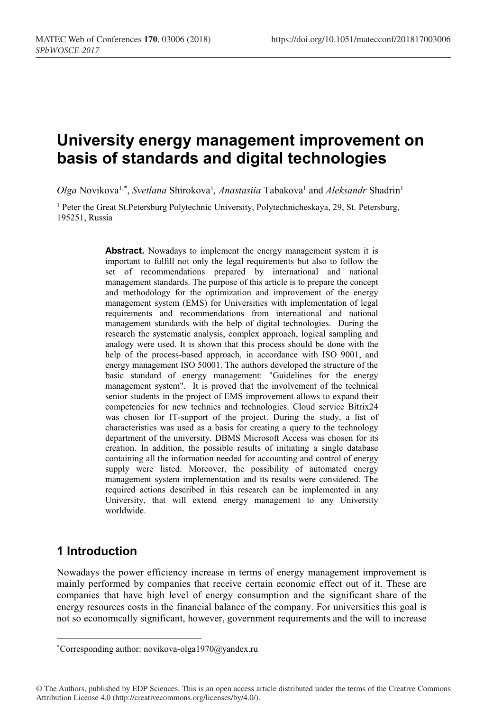# **University energy management improvement on basis of standards and digital technologies**

Olga Novikova<sup>1,\*</sup>, *Svetlana Shirokova<sup>1</sup>, Anastasiia* Tabakova<sup>1</sup> and *Aleksandr Shadrin<sup>1</sup>* 

<sup>1</sup> Peter the Great St.Petersburg Polytechnic University, Polytechnicheskaya, 29, St. Petersburg, 195251, Russia

> Abstract. Nowadays to implement the energy management system it is important to fulfill not only the legal requirements but also to follow the set of recommendations prepared by international and national management standards. The purpose of this article is to prepare the concept and methodology for the optimization and improvement of the energy management system (EMS) for Universities with implementation of legal requirements and recommendations from international and national management standards with the help of digital technologies. During the research the systematic analysis, complex approach, logical sampling and analogy were used. It is shown that this process should be done with the help of the process-based approach, in accordance with ISO 9001, and energy management ISO 50001. The authors developed the structure of the basic standard of energy management: "Guidelines for the energy management system". It is proved that the involvement of the technical senior students in the project of EMS improvement allows to expand their competencies for new technics and technologies. Cloud service Bitrix24 was chosen for IT-support of the project. During the study, a list of characteristics was used as a basis for creating a query to the technology department of the university. DBMS Microsoft Access was chosen for its creation. In addition, the possible results of initiating a single database containing all the information needed for accounting and control of energy supply were listed. Moreover, the possibility of automated energy management system implementation and its results were considered. The required actions described in this research can be implemented in any University, that will extend energy management to any University worldwide.

# **1 Introduction**

 $\overline{a}$ 

Nowadays the power efficiency increase in terms of energy management improvement is mainly performed by companies that receive certain economic effect out of it. These are companies that have high level of energy consumption and the significant share of the energy resources costs in the financial balance of the company. For universities this goal is not so economically significant, however, government requirements and the will to increase

© The Authors, published by EDP Sciences. This is an open access article distributed under the terms of the Creative Commons Attribution License 4.0 (http://creativecommons.org/licenses/by/4.0/).

<sup>\*</sup>Corresponding author: novikova-olga1970@yandex.ru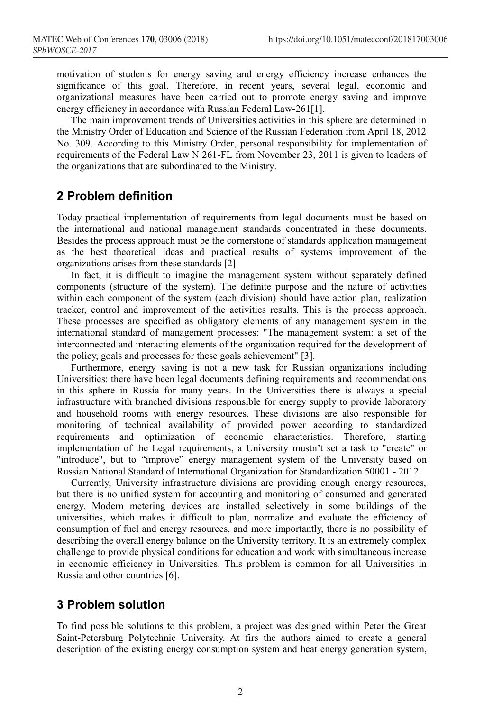motivation of students for energy saving and energy efficiency increase enhances the significance of this goal. Therefore, in recent years, several legal, economic and organizational measures have been carried out to promote energy saving and improve energy efficiency in accordance with Russian Federal Law-261[1].

The main improvement trends of Universities activities in this sphere are determined in the Ministry Order of Education and Science of the Russian Federation from April 18, 2012 No. 309. According to this Ministry Order, personal responsibility for implementation of requirements of the Federal Law N 261-FL from November 23, 2011 is given to leaders of the organizations that are subordinated to the Ministry.

# **2 Problem definition**

Today practical implementation of requirements from legal documents must be based on the international and national management standards concentrated in these documents. Besides the process approach must be the cornerstone of standards application management as the best theoretical ideas and practical results of systems improvement of the organizations arises from these standards [2].

In fact, it is difficult to imagine the management system without separately defined components (structure of the system). The definite purpose and the nature of activities within each component of the system (each division) should have action plan, realization tracker, control and improvement of the activities results. This is the process approach. These processes are specified as obligatory elements of any management system in the international standard of management processes: "The management system: a set of the interconnected and interacting elements of the organization required for the development of the policy, goals and processes for these goals achievement" [3].

Furthermore, energy saving is not a new task for Russian organizations including Universities: there have been legal documents defining requirements and recommendations in this sphere in Russia for many years. In the Universities there is always a special infrastructure with branched divisions responsible for energy supply to provide laboratory and household rooms with energy resources. These divisions are also responsible for monitoring of technical availability of provided power according to standardized requirements and optimization of economic characteristics. Therefore, starting implementation of the Legal requirements, a University mustn't set a task to "create" or "introduce", but to "improve" energy management system of the University based on Russian National Standard of International Organization for Standardization 50001 - 2012.

Currently, University infrastructure divisions are providing enough energy resources, but there is no unified system for accounting and monitoring of consumed and generated energy. Modern metering devices are installed selectively in some buildings of the universities, which makes it difficult to plan, normalize and evaluate the efficiency of consumption of fuel and energy resources, and more importantly, there is no possibility of describing the overall energy balance on the University territory. It is an extremely complex challenge to provide physical conditions for education and work with simultaneous increase in economic efficiency in Universities. This problem is common for all Universities in Russia and other countries [6].

# **3 Problem solution**

To find possible solutions to this problem, a project was designed within Peter the Great Saint-Petersburg Polytechnic University. At firs the authors aimed to create a general description of the existing energy consumption system and heat energy generation system,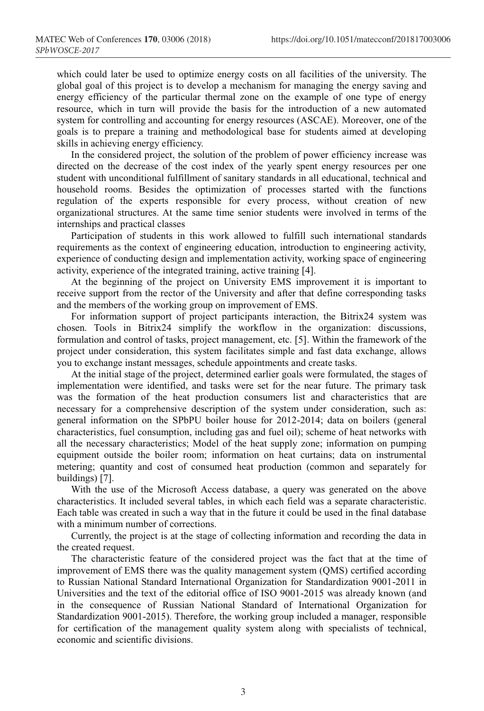which could later be used to optimize energy costs on all facilities of the university. The global goal of this project is to develop a mechanism for managing the energy saving and energy efficiency of the particular thermal zone on the example of one type of energy resource, which in turn will provide the basis for the introduction of a new automated system for controlling and accounting for energy resources (ASCAE). Moreover, one of the goals is to prepare a training and methodological base for students aimed at developing skills in achieving energy efficiency.

In the considered project, the solution of the problem of power efficiency increase was directed on the decrease of the cost index of the yearly spent energy resources per one student with unconditional fulfillment of sanitary standards in all educational, technical and household rooms. Besides the optimization of processes started with the functions regulation of the experts responsible for every process, without creation of new organizational structures. At the same time senior students were involved in terms of the internships and practical classes

Participation of students in this work allowed to fulfill such international standards requirements as the context of engineering education, introduction to engineering activity, experience of conducting design and implementation activity, working space of engineering activity, experience of the integrated training, active training [4].

At the beginning of the project on University EMS improvement it is important to receive support from the rector of the University and after that define corresponding tasks and the members of the working group on improvement of EMS.

For information support of project participants interaction, the Bitrix24 system was chosen. Tools in Bitrix24 simplify the workflow in the organization: discussions, formulation and control of tasks, project management, etc. [5]. Within the framework of the project under consideration, this system facilitates simple and fast data exchange, allows you to exchange instant messages, schedule appointments and create tasks.

At the initial stage of the project, determined earlier goals were formulated, the stages of implementation were identified, and tasks were set for the near future. The primary task was the formation of the heat production consumers list and characteristics that are necessary for a comprehensive description of the system under consideration, such as: general information on the SPbPU boiler house for 2012-2014; data on boilers (general characteristics, fuel consumption, including gas and fuel oil); scheme of heat networks with all the necessary characteristics; Model of the heat supply zone; information on pumping equipment outside the boiler room; information on heat curtains; data on instrumental metering; quantity and cost of consumed heat production (common and separately for buildings) [7].

With the use of the Microsoft Access database, a query was generated on the above characteristics. It included several tables, in which each field was a separate characteristic. Each table was created in such a way that in the future it could be used in the final database with a minimum number of corrections.

Currently, the project is at the stage of collecting information and recording the data in the created request.

The characteristic feature of the considered project was the fact that at the time of improvement of EMS there was the quality management system (QMS) certified according to Russian National Standard International Organization for Standardization 9001-2011 in Universities and the text of the editorial office of ISO 9001-2015 was already known (and in the consequence of Russian National Standard of International Organization for Standardization 9001-2015). Therefore, the working group included a manager, responsible for certification of the management quality system along with specialists of technical, economic and scientific divisions.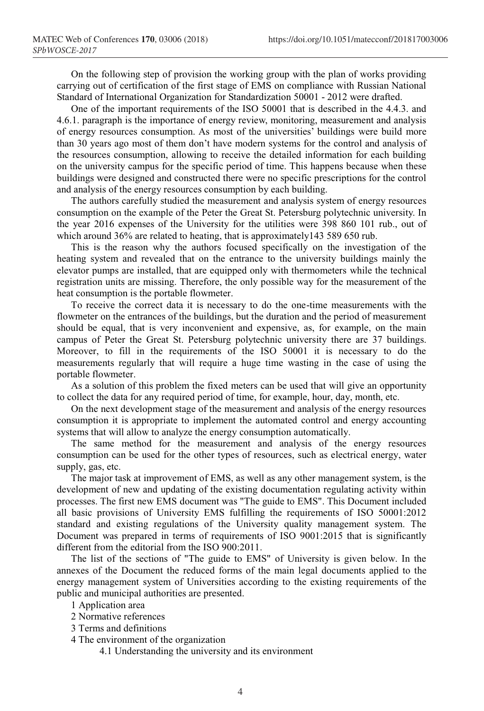On the following step of provision the working group with the plan of works providing carrying out of certification of the first stage of EMS on compliance with Russian National Standard of International Organization for Standardization 50001 - 2012 were drafted.

One of the important requirements of the ISO 50001 that is described in the 4.4.3. and 4.6.1. paragraph is the importance of energy review, monitoring, measurement and analysis of energy resources consumption. As most of the universities' buildings were build more than 30 years ago most of them don't have modern systems for the control and analysis of the resources consumption, allowing to receive the detailed information for each building on the university campus for the specific period of time. This happens because when these buildings were designed and constructed there were no specific prescriptions for the control and analysis of the energy resources consumption by each building.

The authors carefully studied the measurement and analysis system of energy resources consumption on the example of the Peter the Great St. Petersburg polytechnic university. In the year 2016 expenses of the University for the utilities were 398 860 101 rub., out of which around 36% are related to heating, that is approximately143 589 650 rub.

This is the reason why the authors focused specifically on the investigation of the heating system and revealed that on the entrance to the university buildings mainly the elevator pumps are installed, that are equipped only with thermometers while the technical registration units are missing. Therefore, the only possible way for the measurement of the heat consumption is the portable flowmeter.

To receive the correct data it is necessary to do the one-time measurements with the flowmeter on the entrances of the buildings, but the duration and the period of measurement should be equal, that is very inconvenient and expensive, as, for example, on the main campus of Peter the Great St. Petersburg polytechnic university there are 37 buildings. Moreover, to fill in the requirements of the ISO 50001 it is necessary to do the measurements regularly that will require a huge time wasting in the case of using the portable flowmeter.

As a solution of this problem the fixed meters can be used that will give an opportunity to collect the data for any required period of time, for example, hour, day, month, etc.

On the next development stage of the measurement and analysis of the energy resources consumption it is appropriate to implement the automated control and energy accounting systems that will allow to analyze the energy consumption automatically.

The same method for the measurement and analysis of the energy resources consumption can be used for the other types of resources, such as electrical energy, water supply, gas, etc.

The major task at improvement of EMS, as well as any other management system, is the development of new and updating of the existing documentation regulating activity within processes. The first new EMS document was "The guide to EMS". This Document included all basic provisions of University EMS fulfilling the requirements of ISO 50001:2012 standard and existing regulations of the University quality management system. The Document was prepared in terms of requirements of ISO 9001:2015 that is significantly different from the editorial from the ISO 900:2011.

The list of the sections of "The guide to EMS" of University is given below. In the annexes of the Document the reduced forms of the main legal documents applied to the energy management system of Universities according to the existing requirements of the public and municipal authorities are presented.

- 1 Application area
- 2 Normative references
- 3 Terms and definitions

4 The environment of the organization

4.1 Understanding the university and its environment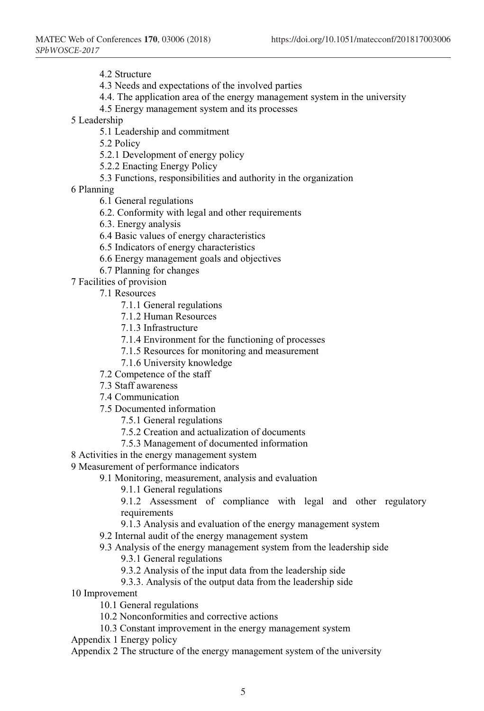4.2 Structure

4.3 Needs and expectations of the involved parties

- 4.4. The application area of the energy management system in the university
- 4.5 Energy management system and its processes
- 5 Leadership
	- 5.1 Leadership and commitment

5.2 Policy

5.2.1 Development of energy policy

5.2.2 Enacting Energy Policy

5.3 Functions, responsibilities and authority in the organization

6 Planning

- 6.1 General regulations
- 6.2. Conformity with legal and other requirements
- 6.3. Energy analysis
- 6.4 Basic values of energy characteristics
- 6.5 Indicators of energy characteristics
- 6.6 Energy management goals and objectives
- 6.7 Planning for changes
- 7 Facilities of provision
	- 7.1 Resources
		- 7.1.1 General regulations
		- 7.1.2 Human Resources
		- 7.1.3 Infrastructure
		- 7.1.4 Environment for the functioning of processes
		- 7.1.5 Resources for monitoring and measurement
		- 7.1.6 University knowledge
	- 7.2 Competence of the staff
	- 7.3 Staff awareness
	- 7.4 Communication
	- 7.5 Documented information
		- 7.5.1 General regulations
		- 7.5.2 Creation and actualization of documents
		- 7.5.3 Management of documented information
- 8 Activities in the energy management system

#### 9 Measurement of performance indicators

9.1 Monitoring, measurement, analysis and evaluation

9.1.1 General regulations

9.1.2 Assessment of compliance with legal and other regulatory requirements

- 9.1.3 Analysis and evaluation of the energy management system
- 9.2 Internal audit of the energy management system
- 9.3 Analysis of the energy management system from the leadership side

9.3.1 General regulations

- 9.3.2 Analysis of the input data from the leadership side
- 9.3.3. Analysis of the output data from the leadership side
- 10 Improvement

10.1 General regulations

- 10.2 Nonconformities and corrective actions
- 10.3 Constant improvement in the energy management system
- Appendix 1 Energy policy

Appendix 2 The structure of the energy management system of the university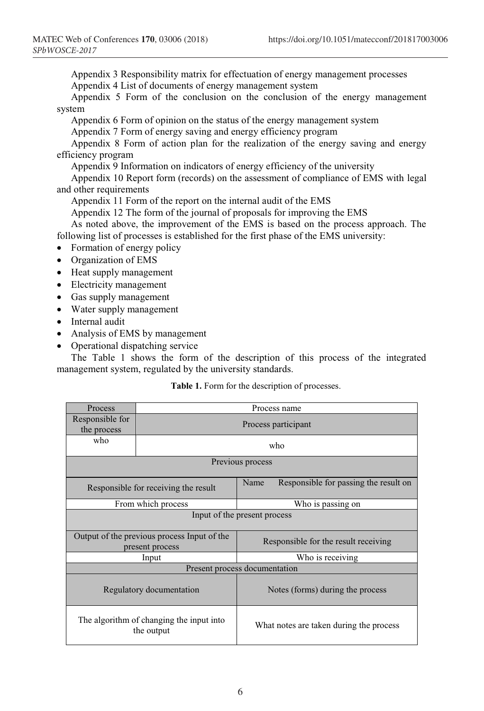Appendix 3 Responsibility matrix for effectuation of energy management processes Appendix 4 List of documents of energy management system

Appendix 5 Form of the conclusion on the conclusion of the energy management system

Appendix 6 Form of opinion on the status of the energy management system

Appendix 7 Form of energy saving and energy efficiency program

Appendix 8 Form of action plan for the realization of the energy saving and energy efficiency program

Appendix 9 Information on indicators of energy efficiency of the university

Appendix 10 Report form (records) on the assessment of compliance of EMS with legal and other requirements

Appendix 11 Form of the report on the internal audit of the EMS

Appendix 12 The form of the journal of proposals for improving the EMS

As noted above, the improvement of the EMS is based on the process approach. The following list of processes is established for the first phase of the EMS university:

- Formation of energy policy
- Organization of EMS
- Heat supply management
- Electricity management
- Gas supply management
- Water supply management
- Internal audit
- Analysis of EMS by management
- Operational dispatching service

The Table 1 shows the form of the description of this process of the integrated management system, regulated by the university standards.

#### **Table 1.** Form for the description of processes.

| Process                                                        |                     | Process name                                  |  |
|----------------------------------------------------------------|---------------------|-----------------------------------------------|--|
| Responsible for<br>the process                                 | Process participant |                                               |  |
| who                                                            | who                 |                                               |  |
| Previous process                                               |                     |                                               |  |
| Responsible for receiving the result                           |                     | Responsible for passing the result on<br>Name |  |
| From which process                                             |                     | Who is passing on                             |  |
| Input of the present process                                   |                     |                                               |  |
| Output of the previous process Input of the<br>present process |                     | Responsible for the result receiving          |  |
| Input                                                          |                     | Who is receiving                              |  |
| Present process documentation                                  |                     |                                               |  |
| Regulatory documentation                                       |                     | Notes (forms) during the process              |  |
| The algorithm of changing the input into<br>the output         |                     | What notes are taken during the process       |  |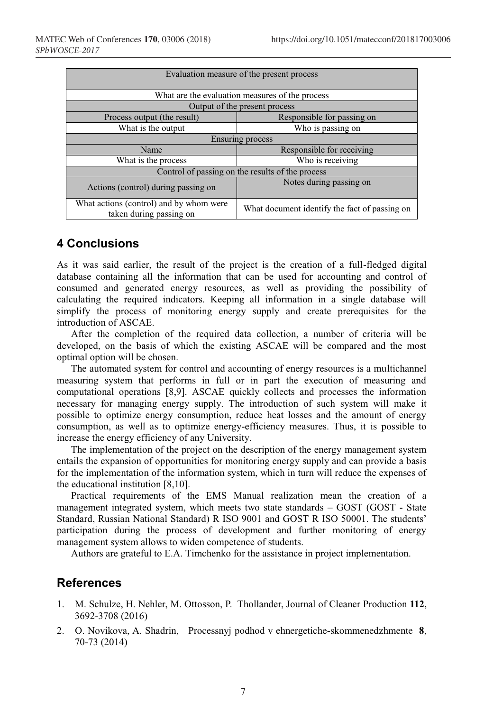| Evaluation measure of the present process                          |                                               |  |  |
|--------------------------------------------------------------------|-----------------------------------------------|--|--|
| What are the evaluation measures of the process                    |                                               |  |  |
| Output of the present process                                      |                                               |  |  |
| Process output (the result)                                        | Responsible for passing on                    |  |  |
| What is the output                                                 | Who is passing on                             |  |  |
| <b>Ensuring process</b>                                            |                                               |  |  |
| Name                                                               | Responsible for receiving                     |  |  |
| What is the process                                                | Who is receiving                              |  |  |
| Control of passing on the results of the process                   |                                               |  |  |
| Actions (control) during passing on                                | Notes during passing on                       |  |  |
| What actions (control) and by whom were<br>taken during passing on | What document identify the fact of passing on |  |  |

# **4 Conclusions**

As it was said earlier, the result of the project is the creation of a full-fledged digital database containing all the information that can be used for accounting and control of consumed and generated energy resources, as well as providing the possibility of calculating the required indicators. Keeping all information in a single database will simplify the process of monitoring energy supply and create prerequisites for the introduction of ASCAE.

After the completion of the required data collection, a number of criteria will be developed, on the basis of which the existing ASCAE will be compared and the most optimal option will be chosen.

The automated system for control and accounting of energy resources is a multichannel measuring system that performs in full or in part the execution of measuring and computational operations [8,9]. ASCAE quickly collects and processes the information necessary for managing energy supply. The introduction of such system will make it possible to optimize energy consumption, reduce heat losses and the amount of energy consumption, as well as to optimize energy-efficiency measures. Thus, it is possible to increase the energy efficiency of any University.

The implementation of the project on the description of the energy management system entails the expansion of opportunities for monitoring energy supply and can provide a basis for the implementation of the information system, which in turn will reduce the expenses of the educational institution [8,10].

Practical requirements of the EMS Manual realization mean the creation of a management integrated system, which meets two state standards – GOST (GOST - State Standard, Russian National Standard) R ISO 9001 and GOST R ISO 50001. The students' participation during the process of development and further monitoring of energy management system allows to widen competence of students.

Authors are grateful to E.A. Timchenko for the assistance in project implementation.

### **References**

- 1. M. Schulze, H. Nehler, M. Ottosson, P. Thollander, Journal of Cleaner Production **112**, 3692-3708 (2016)
- 2. O. Novikova, A. Shadrin, Processnyj podhod v ehnergetiche-skommenedzhmente **8**, 70-73 (2014)